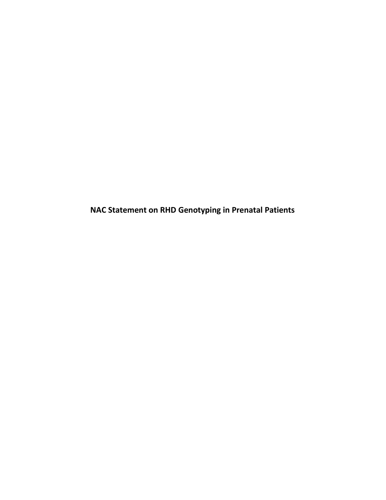**NAC Statement on RHD Genotyping in Prenatal Patients**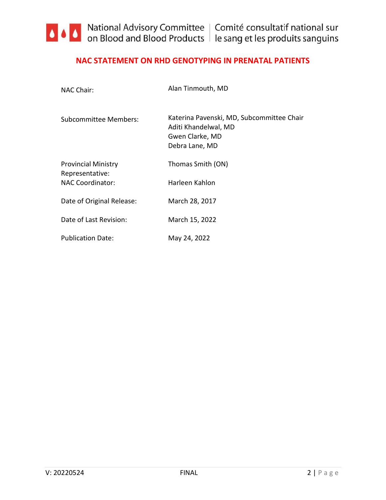## **NAC STATEMENT ON RHD GENOTYPING IN PRENATAL PATIENTS**

| NAC Chair:                                    | Alan Tinmouth, MD                                                                                      |
|-----------------------------------------------|--------------------------------------------------------------------------------------------------------|
| <b>Subcommittee Members:</b>                  | Katerina Pavenski, MD, Subcommittee Chair<br>Aditi Khandelwal, MD<br>Gwen Clarke, MD<br>Debra Lane, MD |
| <b>Provincial Ministry</b><br>Representative: | Thomas Smith (ON)                                                                                      |
| <b>NAC Coordinator:</b>                       | Harleen Kahlon                                                                                         |
| Date of Original Release:                     | March 28, 2017                                                                                         |
| Date of Last Revision:                        | March 15, 2022                                                                                         |
| <b>Publication Date:</b>                      | May 24, 2022                                                                                           |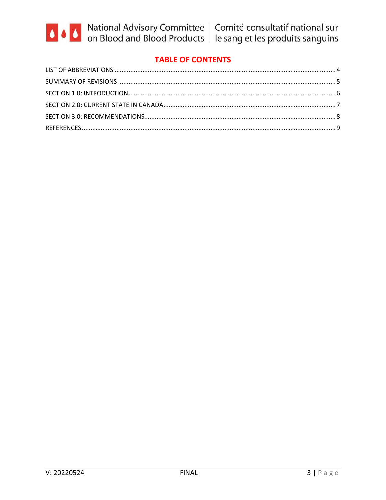

# **TABLE OF CONTENTS**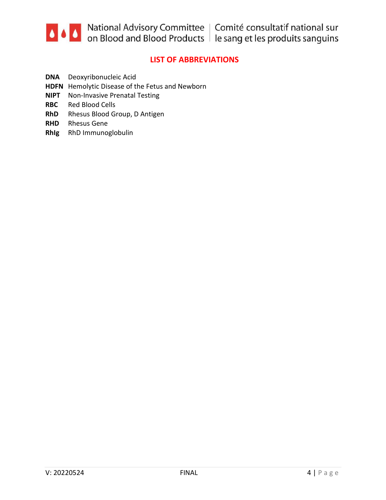

### **LIST OF ABBREVIATIONS**

- <span id="page-3-0"></span>**DNA** Deoxyribonucleic Acid
- **HDFN** Hemolytic Disease of the Fetus and Newborn
- **NIPT** Non-Invasive Prenatal Testing
- **RBC** Red Blood Cells
- **RhD** Rhesus Blood Group, D Antigen
- **RHD** Rhesus Gene
- **RhIg** RhD Immunoglobulin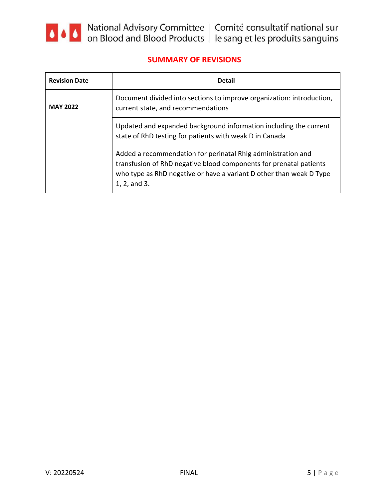

#### **SUMMARY OF REVISIONS**

<span id="page-4-0"></span>

| <b>Revision Date</b> | <b>Detail</b>                                                                                                                                                                                                             |
|----------------------|---------------------------------------------------------------------------------------------------------------------------------------------------------------------------------------------------------------------------|
| <b>MAY 2022</b>      | Document divided into sections to improve organization: introduction,<br>current state, and recommendations                                                                                                               |
|                      | Updated and expanded background information including the current<br>state of RhD testing for patients with weak D in Canada                                                                                              |
|                      | Added a recommendation for perinatal Rhig administration and<br>transfusion of RhD negative blood components for prenatal patients<br>who type as RhD negative or have a variant D other than weak D Type<br>1, 2, and 3. |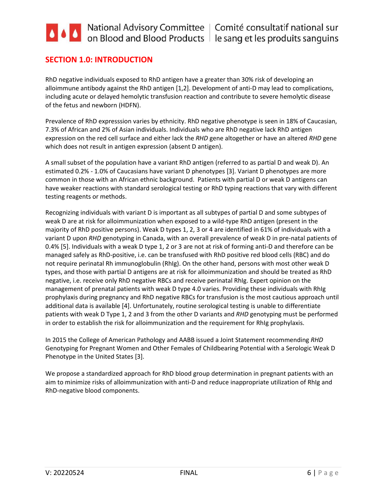## <span id="page-5-0"></span>**SECTION 1.0: INTRODUCTION**

RhD negative individuals exposed to RhD antigen have a greater than 30% risk of developing an alloimmune antibody against the RhD antigen [1,2]. Development of anti-D may lead to complications, including acute or delayed hemolytic transfusion reaction and contribute to severe hemolytic disease of the fetus and newborn (HDFN).

Prevalence of RhD expresssion varies by ethnicity. RhD negative phenotype is seen in 18% of Caucasian, 7.3% of African and 2% of Asian individuals. Individuals who are RhD negative lack RhD antigen expression on the red cell surface and either lack the *RHD* gene altogether or have an altered *RHD* gene which does not result in antigen expression (absent D antigen).

A small subset of the population have a variant RhD antigen (referred to as partial D and weak D). An estimated 0.2% - 1.0% of Caucasians have variant D phenotypes [3]. Variant D phenotypes are more common in those with an African ethnic background. Patients with partial D or weak D antigens can have weaker reactions with standard serological testing or RhD typing reactions that vary with different testing reagents or methods.

Recognizing individuals with variant D is important as all subtypes of partial D and some subtypes of weak D are at risk for alloimmunization when exposed to a wild-type RhD antigen (present in the majority of RhD positive persons). Weak D types 1, 2, 3 or 4 are identified in 61% of individuals with a variant D upon *RHD* genotyping in Canada, with an overall prevalence of weak D in pre-natal patients of 0.4% [5]. Individuals with a weak D type 1, 2 or 3 are not at risk of forming anti-D and therefore can be managed safely as RhD-positive, i.e. can be transfused with RhD positive red blood cells (RBC) and do not require perinatal Rh immunoglobulin (RhIg). On the other hand, persons with most other weak D types, and those with partial D antigens are at risk for alloimmunization and should be treated as RhD negative, i.e. receive only RhD negative RBCs and receive perinatal RhIg. Expert opinion on the management of prenatal patients with weak D type 4.0 varies. Providing these individuals with RhIg prophylaxis during pregnancy and RhD negative RBCs for transfusion is the most cautious approach until additional data is available [4]. Unfortunately, routine serological testing is unable to differentiate patients with weak D Type 1, 2 and 3 from the other D variants and *RHD* genotyping must be performed in order to establish the risk for alloimmunization and the requirement for RhIg prophylaxis.

In 2015 the College of American Pathology and AABB issued a Joint Statement recommending *RHD* Genotyping for Pregnant Women and Other Females of Childbearing Potential with a Serologic Weak D Phenotype in the United States [3].

We propose a standardized approach for RhD blood group determination in pregnant patients with an aim to minimize risks of alloimmunization with anti-D and reduce inappropriate utilization of RhIg and RhD-negative blood components.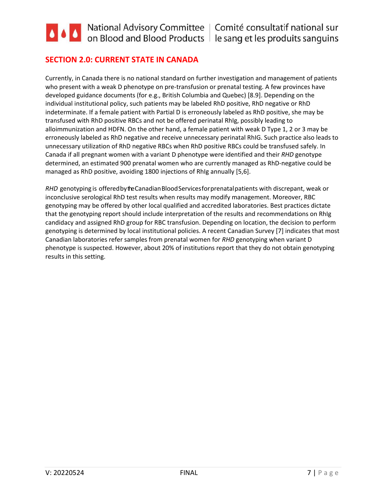## <span id="page-6-0"></span>**SECTION 2.0: CURRENT STATE IN CANADA**

Currently, in Canada there is no national standard on further investigation and management of patients who present with a weak D phenotype on pre-transfusion or prenatal testing. A few provinces have developed guidance documents (for e.g., British Columbia and Quebec) [8.9]. Depending on the individual institutional policy, such patients may be labeled RhD positive, RhD negative or RhD indeterminate. If a female patient with Partial D is erroneously labeled as RhD positive, she may be transfused with RhD positive RBCs and not be offered perinatal RhIg, possibly leading to alloimmunization and HDFN. On the other hand, a female patient with weak D Type 1, 2 or 3 may be erroneously labeled as RhD negative and receive unnecessary perinatal RhIG. Such practice also leads to unnecessary utilization of RhD negative RBCs when RhD positive RBCs could be transfused safely. In Canada if all pregnant women with a variant D phenotype were identified and their *RHD* genotype determined, an estimated 900 prenatal women who are currently managed as RhD-negative could be managed as RhD positive, avoiding 1800 injections of RhIg annually [5,6].

*RHD* genotyping is offeredbythe CanadianBloodServicesforprenatalpatients with discrepant, weak or inconclusive serological RhD test results when results may modify management. Moreover, RBC genotyping may be offered by other local qualified and accredited laboratories. Best practices dictate that the genotyping report should include interpretation of the results and recommendations on RhIg candidacy and assigned RhD group for RBC transfusion. Depending on location, the decision to perform genotyping is determined by local institutional policies. A recent Canadian Survey [7] indicates that most Canadian laboratories refer samples from prenatal women for *RHD* genotyping when variant D phenotype is suspected. However, about 20% of institutions report that they do not obtain genotyping results in this setting.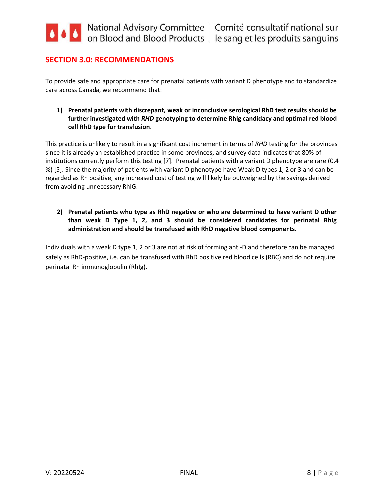#### <span id="page-7-0"></span>**SECTION 3.0: RECOMMENDATIONS**

To provide safe and appropriate care for prenatal patients with variant D phenotype and to standardize care across Canada, we recommend that:

**1) Prenatal patients with discrepant, weak or inconclusive serological RhD test results should be further investigated with** *RHD* **genotyping to determine RhIg candidacy and optimal red blood cell RhD type for transfusion**.

This practice is unlikely to result in a significant cost increment in terms of *RHD* testing for the provinces since it is already an established practice in some provinces, and survey data indicates that 80% of institutions currently perform this testing [7]. Prenatal patients with a variant D phenotype are rare (0.4 %) [5]. Since the majority of patients with variant D phenotype have Weak D types 1, 2 or 3 and can be regarded as Rh positive, any increased cost of testing will likely be outweighed by the savings derived from avoiding unnecessary RhIG.

**2) Prenatal patients who type as RhD negative or who are determined to have variant D other than weak D Type 1, 2, and 3 should be considered candidates for perinatal RhIg administration and should be transfused with RhD negative blood components.**

Individuals with a weak D type 1, 2 or 3 are not at risk of forming anti-D and therefore can be managed safely as RhD-positive, i.e. can be transfused with RhD positive red blood cells (RBC) and do not require perinatal Rh immunoglobulin (RhIg).